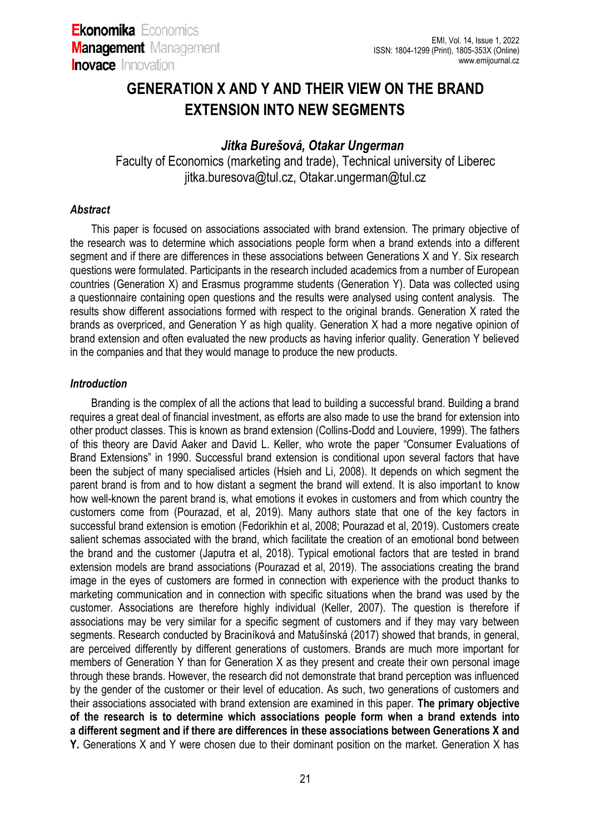# **GENERATION X AND Y AND THEIR VIEW ON THE BRAND EXTENSION INTO NEW SEGMENTS**

## *Jitka Burešová, Otakar Ungerman*

Faculty of Economics (marketing and trade), Technical university of Liberec [jitka.buresova@tul.cz,](mailto:jitka.buresova@tul.cz) Otakar.ungerman@tul.cz

#### *Abstract*

This paper is focused on associations associated with brand extension. The primary objective of the research was to determine which associations people form when a brand extends into a different segment and if there are differences in these associations between Generations X and Y. Six research questions were formulated. Participants in the research included academics from a number of European countries (Generation X) and Erasmus programme students (Generation Y). Data was collected using a questionnaire containing open questions and the results were analysed using content analysis. The results show different associations formed with respect to the original brands. Generation X rated the brands as overpriced, and Generation Y as high quality. Generation X had a more negative opinion of brand extension and often evaluated the new products as having inferior quality. Generation Y believed in the companies and that they would manage to produce the new products.

### *Introduction*

Branding is the complex of all the actions that lead to building a successful brand. Building a brand requires a great deal of financial investment, as efforts are also made to use the brand for extension into other product classes. This is known as brand extension (Collins-Dodd and Louviere, 1999). The fathers of this theory are David Aaker and David L. Keller, who wrote the paper "Consumer Evaluations of Brand Extensions" in 1990. Successful brand extension is conditional upon several factors that have been the subject of many specialised articles (Hsieh and Li, 2008). It depends on which segment the parent brand is from and to how distant a segment the brand will extend. It is also important to know how well-known the parent brand is, what emotions it evokes in customers and from which country the customers come from (Pourazad, et al, 2019). Many authors state that one of the key factors in successful brand extension is emotion (Fedorikhin et al, 2008; Pourazad et al, 2019). Customers create salient schemas associated with the brand, which facilitate the creation of an emotional bond between the brand and the customer (Japutra et al, 2018). Typical emotional factors that are tested in brand extension models are brand associations (Pourazad et al, 2019). The associations creating the brand image in the eyes of customers are formed in connection with experience with the product thanks to marketing communication and in connection with specific situations when the brand was used by the customer. Associations are therefore highly individual (Keller, 2007). The question is therefore if associations may be very similar for a specific segment of customers and if they may vary between segments. Research conducted by Braciníková and Matušínská (2017) showed that brands, in general, are perceived differently by different generations of customers. Brands are much more important for members of Generation Y than for Generation X as they present and create their own personal image through these brands. However, the research did not demonstrate that brand perception was influenced by the gender of the customer or their level of education. As such, two generations of customers and their associations associated with brand extension are examined in this paper. **The primary objective of the research is to determine which associations people form when a brand extends into a different segment and if there are differences in these associations between Generations X and Y.** Generations X and Y were chosen due to their dominant position on the market. Generation X has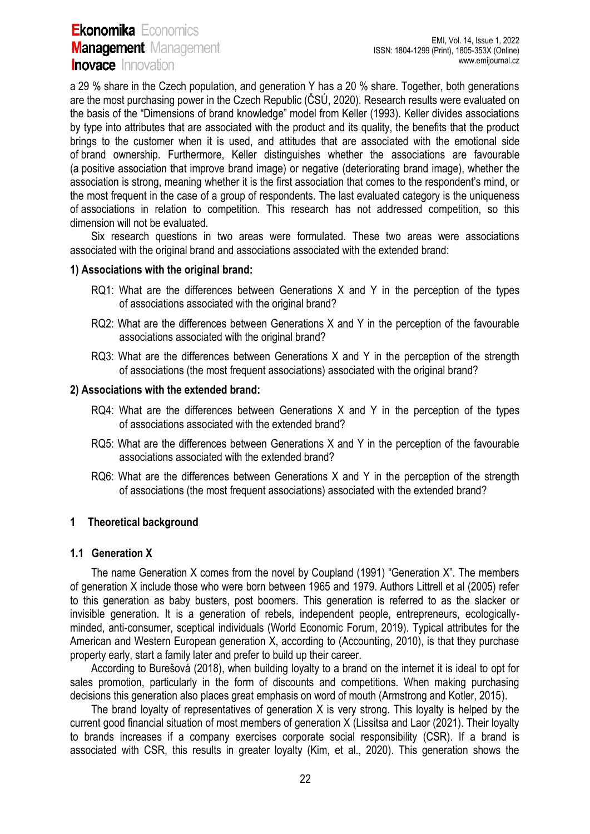a 29 % share in the Czech population, and generation Y has a 20 % share. Together, both generations are the most purchasing power in the Czech Republic (ČSÚ, 2020). Research results were evaluated on the basis of the "Dimensions of brand knowledge" model from Keller (1993). Keller divides associations by type into attributes that are associated with the product and its quality, the benefits that the product brings to the customer when it is used, and attitudes that are associated with the emotional side of brand ownership. Furthermore, Keller distinguishes whether the associations are favourable (a positive association that improve brand image) or negative (deteriorating brand image), whether the association is strong, meaning whether it is the first association that comes to the respondent's mind, or the most frequent in the case of a group of respondents. The last evaluated category is the uniqueness of associations in relation to competition. This research has not addressed competition, so this dimension will not be evaluated.

Six research questions in two areas were formulated. These two areas were associations associated with the original brand and associations associated with the extended brand:

### **1) Associations with the original brand:**

- RQ1: What are the differences between Generations X and Y in the perception of the types of associations associated with the original brand?
- RQ2: What are the differences between Generations X and Y in the perception of the favourable associations associated with the original brand?
- RQ3: What are the differences between Generations X and Y in the perception of the strength of associations (the most frequent associations) associated with the original brand?

#### **2) Associations with the extended brand:**

- RQ4: What are the differences between Generations X and Y in the perception of the types of associations associated with the extended brand?
- RQ5: What are the differences between Generations X and Y in the perception of the favourable associations associated with the extended brand?
- RQ6: What are the differences between Generations X and Y in the perception of the strength of associations (the most frequent associations) associated with the extended brand?

#### **1 Theoretical background**

#### **1.1 Generation X**

The name Generation X comes from the novel by Coupland (1991) "Generation X". The members of generation X include those who were born between 1965 and 1979. Authors Littrell et al (2005) refer to this generation as baby busters, post boomers. This generation is referred to as the slacker or invisible generation. It is a generation of rebels, independent people, entrepreneurs, ecologicallyminded, anti-consumer, sceptical individuals (World Economic Forum, 2019). Typical attributes for the American and Western European generation X, according to (Accounting, 2010), is that they purchase property early, start a family later and prefer to build up their career.

According to Burešová (2018), when building loyalty to a brand on the internet it is ideal to opt for sales promotion, particularly in the form of discounts and competitions. When making purchasing decisions this generation also places great emphasis on word of mouth (Armstrong and Kotler, 2015).

The brand loyalty of representatives of generation X is very strong. This loyalty is helped by the current good financial situation of most members of generation X (Lissitsa and Laor (2021). Their loyalty to brands increases if a company exercises corporate social responsibility (CSR). If a brand is associated with CSR, this results in greater loyalty (Kim, et al., 2020). This generation shows the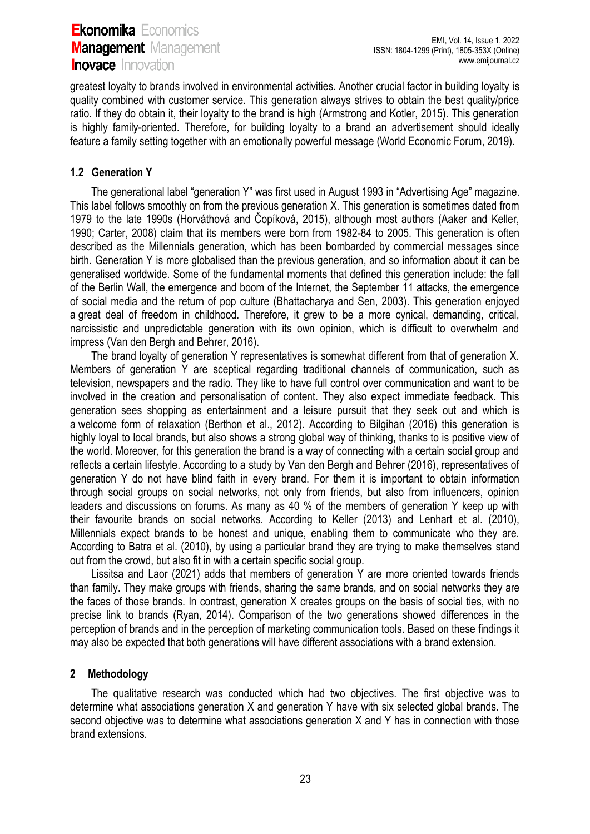greatest loyalty to brands involved in environmental activities. Another crucial factor in building loyalty is quality combined with customer service. This generation always strives to obtain the best quality/price ratio. If they do obtain it, their loyalty to the brand is high (Armstrong and Kotler, 2015). This generation is highly family-oriented. Therefore, for building loyalty to a brand an advertisement should ideally feature a family setting together with an emotionally powerful message (World Economic Forum, 2019).

## **1.2 Generation Y**

The generational label "generation Y" was first used in August 1993 in "Advertising Age" magazine. This label follows smoothly on from the previous generation X. This generation is sometimes dated from 1979 to the late 1990s (Horváthová and Čopíková, 2015), although most authors (Aaker and Keller, 1990; Carter, 2008) claim that its members were born from 1982-84 to 2005. This generation is often described as the Millennials generation, which has been bombarded by commercial messages since birth. Generation Y is more globalised than the previous generation, and so information about it can be generalised worldwide. Some of the fundamental moments that defined this generation include: the fall of the Berlin Wall, the emergence and boom of the Internet, the September 11 attacks, the emergence of social media and the return of pop culture (Bhattacharya and Sen, 2003). This generation enjoyed a great deal of freedom in childhood. Therefore, it grew to be a more cynical, demanding, critical, narcissistic and unpredictable generation with its own opinion, which is difficult to overwhelm and impress (Van den Bergh and Behrer, 2016).

The brand loyalty of generation Y representatives is somewhat different from that of generation X. Members of generation Y are sceptical regarding traditional channels of communication, such as television, newspapers and the radio. They like to have full control over communication and want to be involved in the creation and personalisation of content. They also expect immediate feedback. This generation sees shopping as entertainment and a leisure pursuit that they seek out and which is a welcome form of relaxation (Berthon et al., 2012). According to Bilgihan (2016) this generation is highly loyal to local brands, but also shows a strong global way of thinking, thanks to is positive view of the world. Moreover, for this generation the brand is a way of connecting with a certain social group and reflects a certain lifestyle. According to a study by Van den Bergh and Behrer (2016), representatives of generation Y do not have blind faith in every brand. For them it is important to obtain information through social groups on social networks, not only from friends, but also from influencers, opinion leaders and discussions on forums. As many as 40 % of the members of generation Y keep up with their favourite brands on social networks. According to Keller (2013) and Lenhart et al. (2010), Millennials expect brands to be honest and unique, enabling them to communicate who they are. According to Batra et al. (2010), by using a particular brand they are trying to make themselves stand out from the crowd, but also fit in with a certain specific social group.

Lissitsa and Laor (2021) adds that members of generation Y are more oriented towards friends than family. They make groups with friends, sharing the same brands, and on social networks they are the faces of those brands. In contrast, generation X creates groups on the basis of social ties, with no precise link to brands (Ryan, 2014). Comparison of the two generations showed differences in the perception of brands and in the perception of marketing communication tools. Based on these findings it may also be expected that both generations will have different associations with a brand extension.

### **2 Methodology**

The qualitative research was conducted which had two objectives. The first objective was to determine what associations generation X and generation Y have with six selected global brands. The second objective was to determine what associations generation X and Y has in connection with those brand extensions.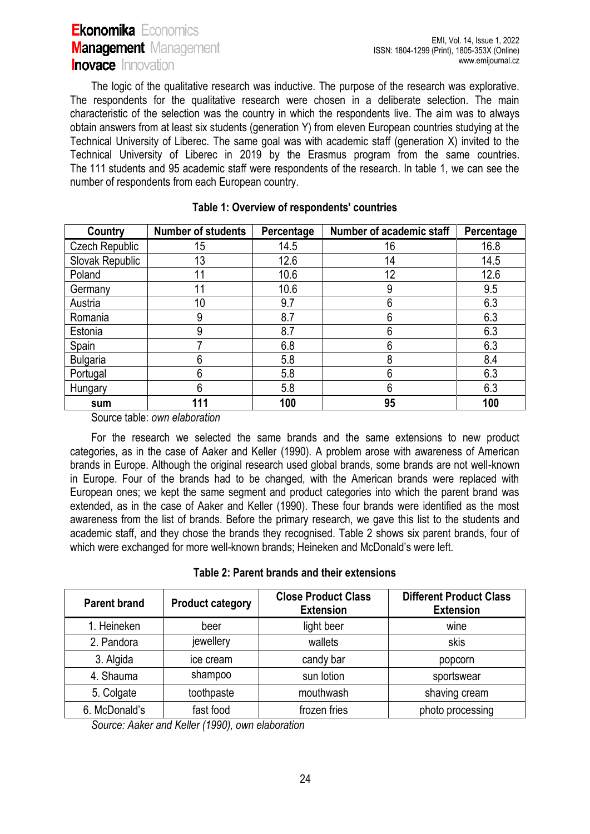The logic of the qualitative research was inductive. The purpose of the research was explorative. The respondents for the qualitative research were chosen in a deliberate selection. The main characteristic of the selection was the country in which the respondents live. The aim was to always obtain answers from at least six students (generation Y) from eleven European countries studying at the Technical University of Liberec. The same goal was with academic staff (generation X) invited to the Technical University of Liberec in 2019 by the Erasmus program from the same countries. The 111 students and 95 academic staff were respondents of the research. In table 1, we can see the number of respondents from each European country.

| Country         | <b>Number of students</b> | Percentage | Number of academic staff | Percentage |
|-----------------|---------------------------|------------|--------------------------|------------|
| Czech Republic  | 15                        | 14.5       | 16                       | 16.8       |
| Slovak Republic | 13                        | 12.6       | 14                       | 14.5       |
| Poland          | 11                        | 10.6       | 12                       | 12.6       |
| Germany         | 11                        | 10.6       | 9                        | 9.5        |
| Austria         | 10                        | 9.7        | 6                        | 6.3        |
| Romania         | 9                         | 8.7        | 6                        | 6.3        |
| Estonia         | 9                         | 8.7        | 6                        | 6.3        |
| Spain           |                           | 6.8        | 6                        | 6.3        |
| <b>Bulgaria</b> | 6                         | 5.8        | 8                        | 8.4        |
| Portugal        | 6                         | 5.8        | 6                        | 6.3        |
| Hungary         | 6                         | 5.8        | 6                        | 6.3        |
| sum             | 111                       | 100        | 95                       | 100        |

### **Table 1: Overview of respondents' countries**

Source table: *own elaboration*

For the research we selected the same brands and the same extensions to new product categories, as in the case of Aaker and Keller (1990). A problem arose with awareness of American brands in Europe. Although the original research used global brands, some brands are not well-known in Europe. Four of the brands had to be changed, with the American brands were replaced with European ones; we kept the same segment and product categories into which the parent brand was extended, as in the case of Aaker and Keller (1990). These four brands were identified as the most awareness from the list of brands. Before the primary research, we gave this list to the students and academic staff, and they chose the brands they recognised. Table 2 shows six parent brands, four of which were exchanged for more well-known brands; Heineken and McDonald's were left.

**Table 2: Parent brands and their extensions**

| <b>Parent brand</b> | <b>Product category</b> | <b>Close Product Class</b><br><b>Extension</b> | <b>Different Product Class</b><br><b>Extension</b> |
|---------------------|-------------------------|------------------------------------------------|----------------------------------------------------|
| 1. Heineken         | beer                    | light beer                                     | wine                                               |
| 2. Pandora          | jewellery               | wallets                                        | skis                                               |
| 3. Algida           | ice cream               | candy bar                                      | popcorn                                            |
| 4. Shauma           | shampoo                 | sun lotion                                     | sportswear                                         |
| 5. Colgate          | toothpaste              | mouthwash                                      | shaving cream                                      |
| 6. McDonald's       | fast food               | frozen fries                                   | photo processing                                   |

*Source: Aaker and Keller (1990), own elaboration*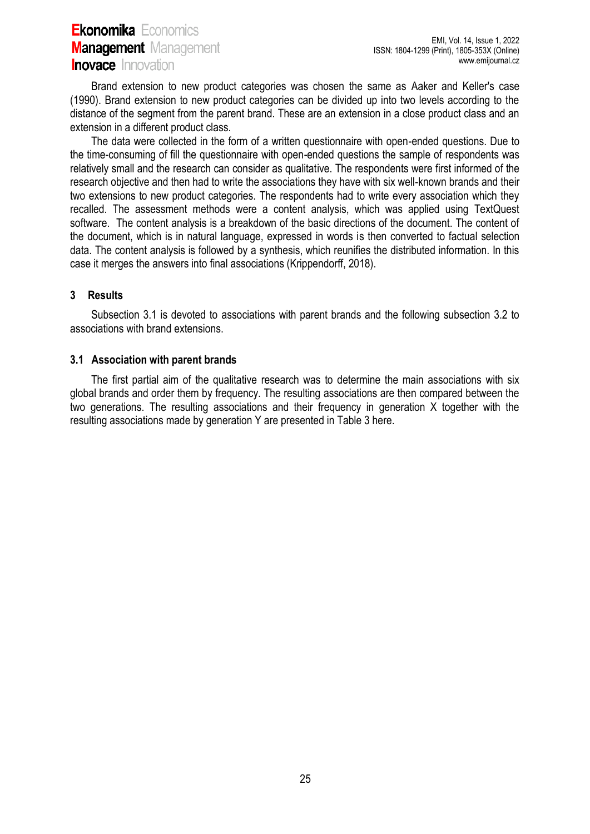Brand extension to new product categories was chosen the same as Aaker and Keller's case (1990). Brand extension to new product categories can be divided up into two levels according to the distance of the segment from the parent brand. These are an extension in a close product class and an extension in a different product class.

The data were collected in the form of a written questionnaire with open-ended questions. Due to the time-consuming of fill the questionnaire with open-ended questions the sample of respondents was relatively small and the research can consider as qualitative. The respondents were first informed of the research objective and then had to write the associations they have with six well-known brands and their two extensions to new product categories. The respondents had to write every association which they recalled. The assessment methods were a content analysis, which was applied using TextQuest software. The content analysis is a breakdown of the basic directions of the document. The content of the document, which is in natural language, expressed in words is then converted to factual selection data. The content analysis is followed by a synthesis, which reunifies the distributed information. In this case it merges the answers into final associations (Krippendorff, 2018).

#### **3 Results**

Subsection 3.1 is devoted to associations with parent brands and the following subsection 3.2 to associations with brand extensions.

#### **3.1 Association with parent brands**

The first partial aim of the qualitative research was to determine the main associations with six global brands and order them by frequency. The resulting associations are then compared between the two generations. The resulting associations and their frequency in generation X together with the resulting associations made by generation Y are presented in Table 3 here.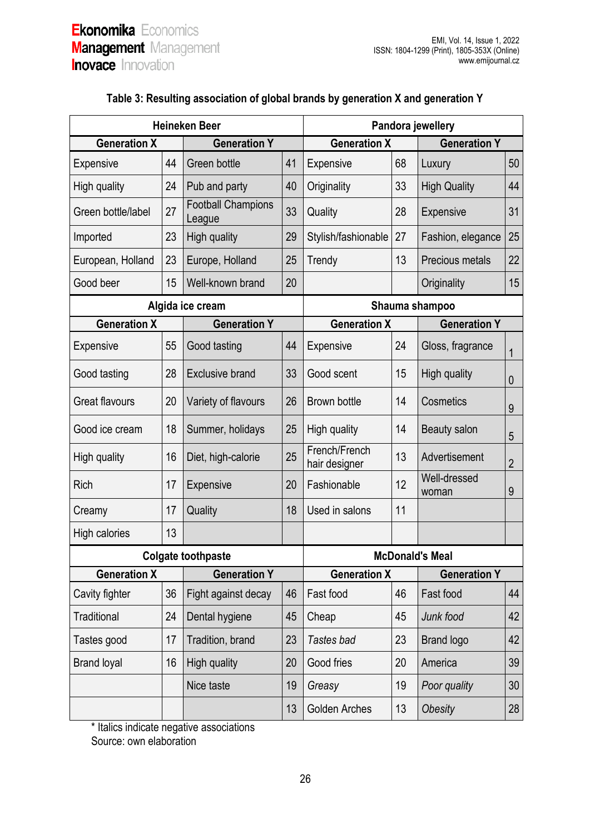| <b>Heineken Beer</b>  |    |                                     |    | Pandora jewellery              |    |                       |                |
|-----------------------|----|-------------------------------------|----|--------------------------------|----|-----------------------|----------------|
| <b>Generation X</b>   |    | <b>Generation Y</b>                 |    | <b>Generation X</b>            |    | <b>Generation Y</b>   |                |
| <b>Expensive</b>      | 44 | Green bottle                        | 41 | Expensive                      | 68 | Luxury                | 50             |
| High quality          | 24 | Pub and party                       | 40 | Originality                    | 33 | <b>High Quality</b>   | 44             |
| Green bottle/label    | 27 | <b>Football Champions</b><br>League | 33 | Quality                        | 28 | Expensive             | 31             |
| Imported              | 23 | High quality                        | 29 | Stylish/fashionable            | 27 | Fashion, elegance     | 25             |
| European, Holland     | 23 | Europe, Holland                     | 25 | Trendy                         | 13 | Precious metals       | 22             |
| Good beer             | 15 | Well-known brand                    | 20 |                                |    | Originality           | 15             |
|                       |    | Algida ice cream                    |    | Shauma shampoo                 |    |                       |                |
| <b>Generation X</b>   |    | <b>Generation Y</b>                 |    | <b>Generation X</b>            |    | <b>Generation Y</b>   |                |
| <b>Expensive</b>      | 55 | Good tasting                        | 44 | Expensive                      | 24 | Gloss, fragrance      | 1              |
| Good tasting          | 28 | <b>Exclusive brand</b>              | 33 | Good scent                     | 15 | High quality          | 0              |
| <b>Great flavours</b> | 20 | Variety of flavours                 | 26 | <b>Brown bottle</b>            | 14 | Cosmetics             | 9              |
| Good ice cream        | 18 | Summer, holidays                    | 25 | High quality                   | 14 | Beauty salon          | 5              |
| High quality          | 16 | Diet, high-calorie                  | 25 | French/French<br>hair designer | 13 | Advertisement         | $\overline{2}$ |
| Rich                  | 17 | <b>Expensive</b>                    | 20 | Fashionable                    | 12 | Well-dressed<br>woman | 9              |
| Creamy                | 17 | Quality                             | 18 | Used in salons                 | 11 |                       |                |
| <b>High calories</b>  | 13 |                                     |    |                                |    |                       |                |
|                       |    | <b>Colgate toothpaste</b>           |    | <b>McDonald's Meal</b>         |    |                       |                |
| <b>Generation X</b>   |    | <b>Generation Y</b>                 |    | <b>Generation X</b>            |    | <b>Generation Y</b>   |                |
| Cavity fighter        | 36 | Fight against decay                 | 46 | Fast food                      | 46 | Fast food             | 44             |
| <b>Traditional</b>    | 24 | Dental hygiene                      | 45 | Cheap                          | 45 | Junk food             | 42             |
| Tastes good           | 17 | Tradition, brand                    | 23 | Tastes bad                     | 23 | <b>Brand logo</b>     | 42             |
| <b>Brand loyal</b>    | 16 | <b>High quality</b>                 | 20 | Good fries                     | 20 | America               | 39             |
|                       |    | Nice taste                          | 19 | Greasy                         | 19 | Poor quality          | 30             |
|                       |    |                                     | 13 | <b>Golden Arches</b>           | 13 | Obesity               | 28             |

## **Table 3: Resulting association of global brands by generation X and generation Y**

\* Italics indicate negative associations

Source: own elaboration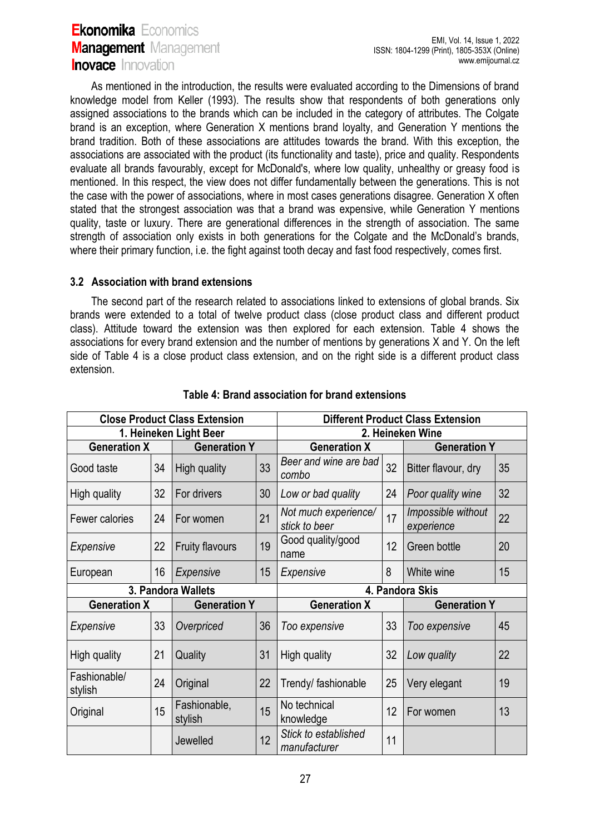As mentioned in the introduction, the results were evaluated according to the Dimensions of brand knowledge model from Keller (1993). The results show that respondents of both generations only assigned associations to the brands which can be included in the category of attributes. The Colgate brand is an exception, where Generation X mentions brand loyalty, and Generation Y mentions the brand tradition. Both of these associations are attitudes towards the brand. With this exception, the associations are associated with the product (its functionality and taste), price and quality. Respondents evaluate all brands favourably, except for McDonald's, where low quality, unhealthy or greasy food is mentioned. In this respect, the view does not differ fundamentally between the generations. This is not the case with the power of associations, where in most cases generations disagree. Generation X often stated that the strongest association was that a brand was expensive, while Generation Y mentions quality, taste or luxury. There are generational differences in the strength of association. The same strength of association only exists in both generations for the Colgate and the McDonald's brands, where their primary function, i.e. the fight against tooth decay and fast food respectively, comes first.

### **3.2 Association with brand extensions**

The second part of the research related to associations linked to extensions of global brands. Six brands were extended to a total of twelve product class (close product class and different product class). Attitude toward the extension was then explored for each extension. Table 4 shows the associations for every brand extension and the number of mentions by generations X and Y. On the left side of Table 4 is a close product class extension, and on the right side is a different product class extension.

| <b>Close Product Class Extension</b> |    |                         |    | <b>Different Product Class Extension</b> |    |                                  |    |
|--------------------------------------|----|-------------------------|----|------------------------------------------|----|----------------------------------|----|
| 1. Heineken Light Beer               |    |                         |    | 2. Heineken Wine                         |    |                                  |    |
| <b>Generation X</b>                  |    | <b>Generation Y</b>     |    | <b>Generation X</b>                      |    | <b>Generation Y</b>              |    |
| Good taste                           | 34 | High quality            | 33 | Beer and wine are bad<br>combo           | 32 | Bitter flavour, dry              | 35 |
| High quality                         | 32 | For drivers             | 30 | Low or bad quality                       | 24 | Poor quality wine                | 32 |
| Fewer calories                       | 24 | For women               | 21 | Not much experience/<br>stick to beer    | 17 | Impossible without<br>experience | 22 |
| Expensive                            | 22 | <b>Fruity flavours</b>  | 19 | Good quality/good<br>12<br>name          |    | Green bottle                     | 20 |
| European                             | 16 | Expensive               | 15 | Expensive                                | 8  | White wine                       | 15 |
|                                      |    | 3. Pandora Wallets      |    | 4. Pandora Skis                          |    |                                  |    |
| <b>Generation X</b>                  |    | <b>Generation Y</b>     |    | <b>Generation X</b>                      |    | <b>Generation Y</b>              |    |
| Expensive                            | 33 | Overpriced              | 36 | Too expensive                            | 33 | Too expensive                    | 45 |
| High quality                         | 21 | Quality                 | 31 | High quality                             | 32 | Low quality                      | 22 |
| Fashionable/<br>stylish              | 24 | Original                | 22 | Trendy/ fashionable                      | 25 | Very elegant                     | 19 |
| Original                             | 15 | Fashionable,<br>stylish | 15 | No technical<br>knowledge                | 12 | For women                        | 13 |
|                                      |    | Jewelled                | 12 | Stick to established<br>manufacturer     | 11 |                                  |    |

### **Table 4: Brand association for brand extensions**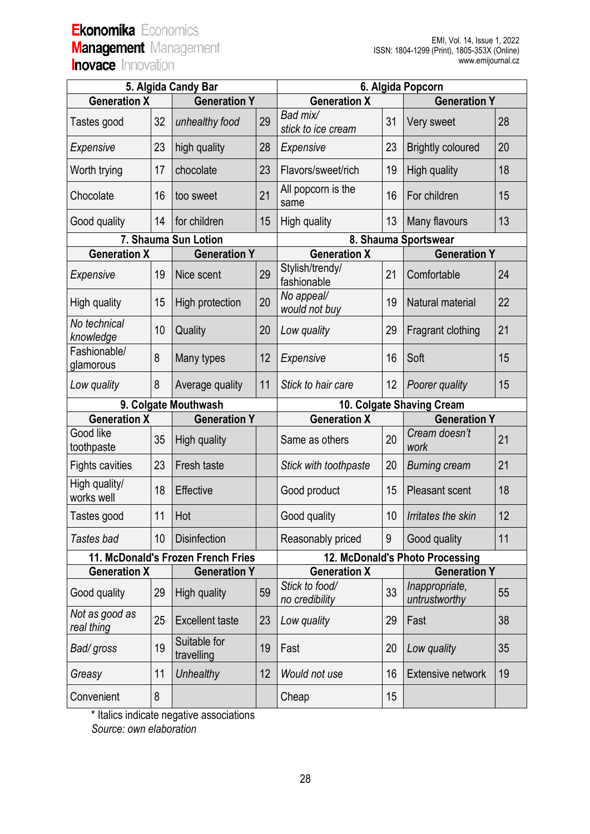| 5. Algida Candy Bar                |    |                            |    | 6. Algida Popcorn                |                                 |                                 |    |  |
|------------------------------------|----|----------------------------|----|----------------------------------|---------------------------------|---------------------------------|----|--|
| <b>Generation X</b>                |    | <b>Generation Y</b>        |    | <b>Generation X</b>              |                                 | <b>Generation Y</b>             |    |  |
| Tastes good                        | 32 | unhealthy food             | 29 | Bad mix/<br>stick to ice cream   | 31                              | Very sweet                      | 28 |  |
| Expensive                          | 23 | high quality               | 28 | Expensive                        | 23                              | <b>Brightly coloured</b>        | 20 |  |
| Worth trying                       | 17 | chocolate                  | 23 | Flavors/sweet/rich               | 19                              | High quality                    | 18 |  |
| Chocolate                          | 16 | too sweet                  | 21 | All popcorn is the<br>same       | 16                              | For children                    | 15 |  |
| Good quality                       | 14 | for children               | 15 | High quality                     | 13                              | Many flavours                   | 13 |  |
| 7. Shauma Sun Lotion               |    |                            |    | 8. Shauma Sportswear             |                                 |                                 |    |  |
| <b>Generation X</b>                |    | <b>Generation Y</b>        |    | <b>Generation X</b>              |                                 | <b>Generation Y</b>             |    |  |
| Expensive                          | 19 | Nice scent                 | 29 | Stylish/trendy/<br>fashionable   | 21                              | Comfortable                     | 24 |  |
| High quality                       | 15 | High protection            | 20 | No appeal/<br>would not buy      | 19                              | Natural material                | 22 |  |
| No technical<br>knowledge          | 10 | Quality                    | 20 | Low quality                      | 29                              | Fragrant clothing               | 21 |  |
| Fashionable/<br>glamorous          | 8  | Many types                 | 12 | Expensive                        | 16                              | Soft                            | 15 |  |
| Low quality                        | 8  | Average quality            | 11 | Stick to hair care               | 12                              | Poorer quality                  | 15 |  |
| 9. Colgate Mouthwash               |    |                            |    | 10. Colgate Shaving Cream        |                                 |                                 |    |  |
| <b>Generation X</b>                |    | <b>Generation Y</b>        |    | <b>Generation X</b>              |                                 | <b>Generation Y</b>             |    |  |
| Good like<br>toothpaste            | 35 | High quality               |    | Same as others                   | 20                              | Cream doesn't<br>work           | 21 |  |
| <b>Fights cavities</b>             | 23 | Fresh taste                |    | Stick with toothpaste            | 20                              | <b>Burning cream</b>            | 21 |  |
| High quality/<br>works well        | 18 | Effective                  |    | Good product                     | 15                              | <b>Pleasant scent</b>           | 18 |  |
| Tastes good                        | 11 | Hot                        |    | Good quality                     | 10                              | Irritates the skin              | 12 |  |
| Tastes bad                         | 10 | <b>Disinfection</b>        |    | Reasonably priced                | 9                               | Good quality                    | 11 |  |
| 11. McDonald's Frozen French Fries |    |                            |    |                                  | 12. McDonald's Photo Processing |                                 |    |  |
| <b>Generation X</b>                |    | <b>Generation Y</b>        |    | <b>Generation X</b>              |                                 | <b>Generation Y</b>             |    |  |
| Good quality                       | 29 | <b>High quality</b>        | 59 | Stick to food/<br>no credibility | 33                              | Inappropriate,<br>untrustworthy | 55 |  |
| Not as good as<br>real thing       | 25 | <b>Excellent taste</b>     | 23 | Low quality                      | 29                              | Fast                            | 38 |  |
| Bad/ gross                         | 19 | Suitable for<br>travelling | 19 | Fast                             | 20                              | Low quality                     | 35 |  |
| Greasy                             | 11 | Unhealthy                  | 12 | Would not use                    | 16                              | <b>Extensive network</b>        | 19 |  |
| Convenient                         | 8  |                            |    | Cheap                            | 15                              |                                 |    |  |

\* Italics indicate negative associations

*Source: own elaboration*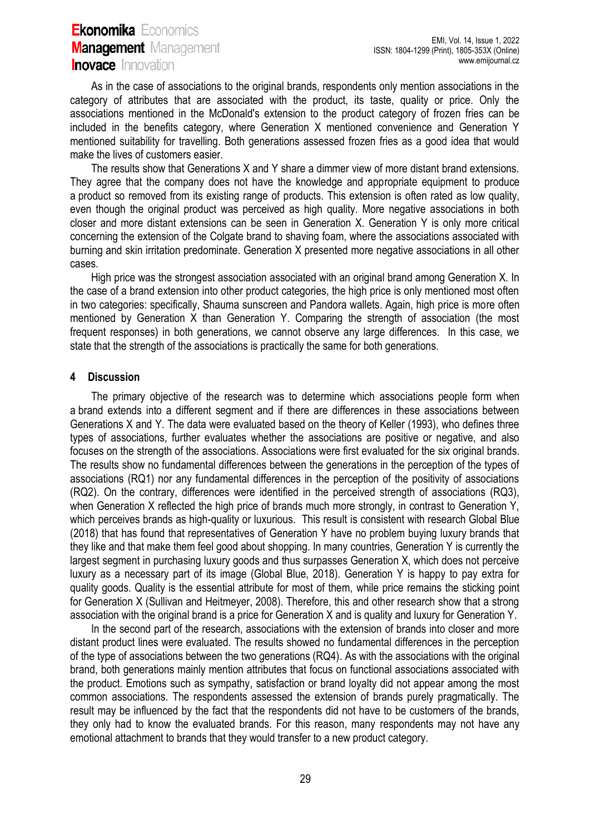As in the case of associations to the original brands, respondents only mention associations in the category of attributes that are associated with the product, its taste, quality or price. Only the associations mentioned in the McDonald's extension to the product category of frozen fries can be included in the benefits category, where Generation X mentioned convenience and Generation Y mentioned suitability for travelling. Both generations assessed frozen fries as a good idea that would make the lives of customers easier.

The results show that Generations X and Y share a dimmer view of more distant brand extensions. They agree that the company does not have the knowledge and appropriate equipment to produce a product so removed from its existing range of products. This extension is often rated as low quality, even though the original product was perceived as high quality. More negative associations in both closer and more distant extensions can be seen in Generation X. Generation Y is only more critical concerning the extension of the Colgate brand to shaving foam, where the associations associated with burning and skin irritation predominate. Generation X presented more negative associations in all other cases.

High price was the strongest association associated with an original brand among Generation X. In the case of a brand extension into other product categories, the high price is only mentioned most often in two categories: specifically, Shauma sunscreen and Pandora wallets. Again, high price is more often mentioned by Generation X than Generation Y. Comparing the strength of association (the most frequent responses) in both generations, we cannot observe any large differences. In this case, we state that the strength of the associations is practically the same for both generations.

### **4 Discussion**

The primary objective of the research was to determine which associations people form when a brand extends into a different segment and if there are differences in these associations between Generations X and Y. The data were evaluated based on the theory of Keller (1993), who defines three types of associations, further evaluates whether the associations are positive or negative, and also focuses on the strength of the associations. Associations were first evaluated for the six original brands. The results show no fundamental differences between the generations in the perception of the types of associations (RQ1) nor any fundamental differences in the perception of the positivity of associations (RQ2). On the contrary, differences were identified in the perceived strength of associations (RQ3), when Generation X reflected the high price of brands much more strongly, in contrast to Generation Y, which perceives brands as high-quality or luxurious. This result is consistent with research Global Blue (2018) that has found that representatives of Generation Y have no problem buying luxury brands that they like and that make them feel good about shopping. In many countries, Generation Y is currently the largest segment in purchasing luxury goods and thus surpasses Generation X, which does not perceive luxury as a necessary part of its image (Global Blue, 2018). Generation Y is happy to pay extra for quality goods. Quality is the essential attribute for most of them, while price remains the sticking point for Generation X (Sullivan and Heitmeyer, 2008). Therefore, this and other research show that a strong association with the original brand is a price for Generation X and is quality and luxury for Generation Y.

In the second part of the research, associations with the extension of brands into closer and more distant product lines were evaluated. The results showed no fundamental differences in the perception of the type of associations between the two generations (RQ4). As with the associations with the original brand, both generations mainly mention attributes that focus on functional associations associated with the product. Emotions such as sympathy, satisfaction or brand loyalty did not appear among the most common associations. The respondents assessed the extension of brands purely pragmatically. The result may be influenced by the fact that the respondents did not have to be customers of the brands, they only had to know the evaluated brands. For this reason, many respondents may not have any emotional attachment to brands that they would transfer to a new product category.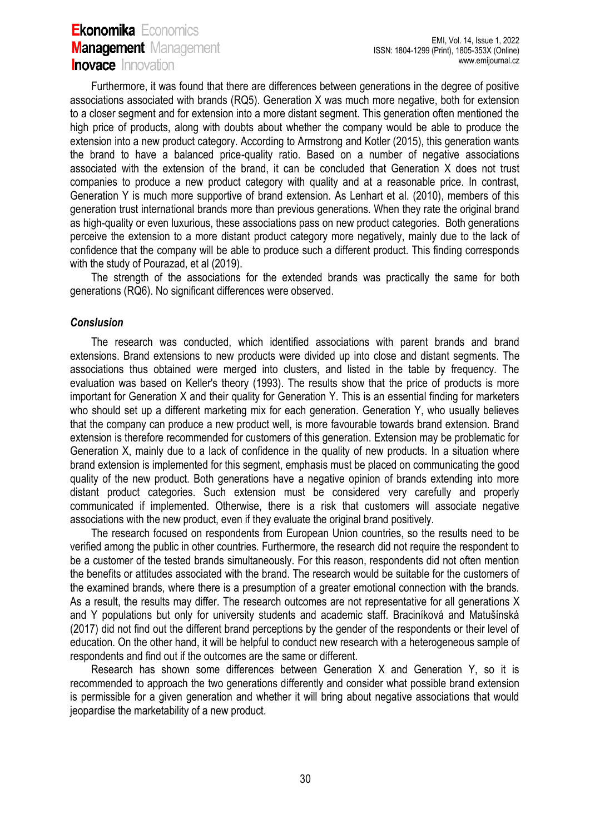Furthermore, it was found that there are differences between generations in the degree of positive associations associated with brands (RQ5). Generation X was much more negative, both for extension to a closer segment and for extension into a more distant segment. This generation often mentioned the high price of products, along with doubts about whether the company would be able to produce the extension into a new product category. According to Armstrong and Kotler (2015), this generation wants the brand to have a balanced price-quality ratio. Based on a number of negative associations associated with the extension of the brand, it can be concluded that Generation X does not trust companies to produce a new product category with quality and at a reasonable price. In contrast, Generation Y is much more supportive of brand extension. As Lenhart et al. (2010), members of this generation trust international brands more than previous generations. When they rate the original brand as high-quality or even luxurious, these associations pass on new product categories. Both generations perceive the extension to a more distant product category more negatively, mainly due to the lack of confidence that the company will be able to produce such a different product. This finding corresponds with the study of Pourazad, et al (2019).

The strength of the associations for the extended brands was practically the same for both generations (RQ6). No significant differences were observed.

#### *Conslusion*

The research was conducted, which identified associations with parent brands and brand extensions. Brand extensions to new products were divided up into close and distant segments. The associations thus obtained were merged into clusters, and listed in the table by frequency. The evaluation was based on Keller's theory (1993). The results show that the price of products is more important for Generation X and their quality for Generation Y. This is an essential finding for marketers who should set up a different marketing mix for each generation. Generation Y, who usually believes that the company can produce a new product well, is more favourable towards brand extension. Brand extension is therefore recommended for customers of this generation. Extension may be problematic for Generation X, mainly due to a lack of confidence in the quality of new products. In a situation where brand extension is implemented for this segment, emphasis must be placed on communicating the good quality of the new product. Both generations have a negative opinion of brands extending into more distant product categories. Such extension must be considered very carefully and properly communicated if implemented. Otherwise, there is a risk that customers will associate negative associations with the new product, even if they evaluate the original brand positively.

The research focused on respondents from European Union countries, so the results need to be verified among the public in other countries. Furthermore, the research did not require the respondent to be a customer of the tested brands simultaneously. For this reason, respondents did not often mention the benefits or attitudes associated with the brand. The research would be suitable for the customers of the examined brands, where there is a presumption of a greater emotional connection with the brands. As a result, the results may differ. The research outcomes are not representative for all generations X and Y populations but only for university students and academic staff. Braciníková and Matušínská (2017) did not find out the different brand perceptions by the gender of the respondents or their level of education. On the other hand, it will be helpful to conduct new research with a heterogeneous sample of respondents and find out if the outcomes are the same or different.

Research has shown some differences between Generation X and Generation Y, so it is recommended to approach the two generations differently and consider what possible brand extension is permissible for a given generation and whether it will bring about negative associations that would jeopardise the marketability of a new product.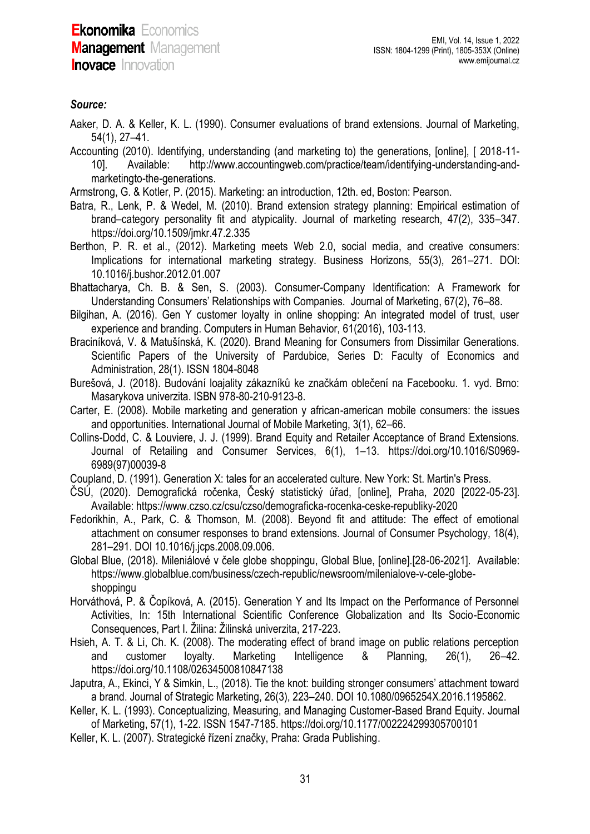## *Source:*

Aaker, D. A. & Keller, K. L. (1990). Consumer evaluations of brand extensions. Journal of Marketing, 54(1), 27–41.

- Accounting (2010). Identifying, understanding (and marketing to) the generations, [online], [ 2018-11- 10]. Available: [http://www.accountingweb.com/practice/team/identifying-understanding-and](http://www.accountingweb.com/practice/team/identifying-understanding-and-marketingto-the-generations)[marketingto-the-generations.](http://www.accountingweb.com/practice/team/identifying-understanding-and-marketingto-the-generations)
- Armstrong, G. & Kotler, P. (2015). Marketing: an introduction, 12th. ed, Boston: Pearson.
- Batra, R., Lenk, P. & Wedel, M. (2010). Brand extension strategy planning: Empirical estimation of brand–category personality fit and atypicality. Journal of marketing research, 47(2), 335–347. https://doi.org/10.1509/jmkr.47.2.335
- Berthon, P. R. et al., (2012). Marketing meets Web 2.0, social media, and creative consumers: Implications for international marketing strategy. Business Horizons, 55(3), 261–271. DOI: 10.1016/j.bushor.2012.01.007
- Bhattacharya, Ch. B. & Sen, S. (2003). Consumer-Company Identification: A Framework for Understanding Consumers' Relationships with Companies. Journal of Marketing, 67(2), 76–88.
- Bilgihan, A. (2016). Gen Y customer loyalty in online shopping: An integrated model of trust, user experience and branding. Computers in Human Behavior, 61(2016), 103-113.
- Braciníková, V. & Matušínská, K. (2020). Brand Meaning for Consumers from Dissimilar Generations. Scientific Papers of the University of Pardubice, Series D: Faculty of Economics and Administration, 28(1). ISSN 1804-8048
- Burešová, J. (2018). Budování loajality zákazníků ke značkám oblečení na Facebooku. 1. vyd. Brno: Masarykova univerzita. ISBN 978-80-210-9123-8.
- Carter, E. (2008). Mobile marketing and generation y african-american mobile consumers: the issues and opportunities. International Journal of Mobile Marketing, 3(1), 62–66.
- Collins-Dodd, C. & Louviere, J. J. (1999). Brand Equity and Retailer Acceptance of Brand Extensions. Journal of Retailing and Consumer Services, 6(1), 1–13. https://doi.org/10.1016/S0969- 6989(97)00039-8
- Coupland, D. (1991). Generation X: tales for an accelerated culture. New York: St. Martin's Press.
- ČSÚ, (2020). Demografická ročenka, Český statistický úřad, [online], Praha, 2020 [2022-05-23]. Available: https://www.czso.cz/csu/czso/demograficka-rocenka-ceske-republiky-2020
- Fedorikhin, A., Park, C. & Thomson, M. (2008). Beyond fit and attitude: The effect of emotional attachment on consumer responses to brand extensions. Journal of Consumer Psychology, 18(4), 281–291. DOI 10.1016/j.jcps.2008.09.006.
- Global Blue, (2018). Mileniálové v čele globe shoppingu, Global Blue, [online].[28-06-2021]. Available: [https://www.globalblue.com/business/czech-republic/newsroom/milenialove-v-cele-globe](https://www.globalblue.com/business/czech-republic/newsroom/milenialove-v-cele-globe-shoppingu)[shoppingu](https://www.globalblue.com/business/czech-republic/newsroom/milenialove-v-cele-globe-shoppingu)
- Horváthová, P. & Čopíková, A. (2015). Generation Y and Its Impact on the Performance of Personnel Activities, In: 15th International Scientific Conference Globalization and Its Socio-Economic Consequences, Part I. Žilina: Žilinská univerzita, 217-223.
- Hsieh, A. T. & Li, Ch. K. (2008). The moderating effect of brand image on public relations perception and customer loyalty. Marketing Intelligence & Planning, 26(1), 26–42. <https://doi.org/10.1108/02634500810847138>
- Japutra, A., Ekinci, Y & Simkin, L., (2018). Tie the knot: building stronger consumers' attachment toward a brand. Journal of Strategic Marketing, 26(3), 223–240. DOI 10.1080/0965254X.2016.1195862.
- Keller, K. L. (1993). Conceptualizing, Measuring, and Managing Customer-Based Brand Equity. Journal of Marketing, 57(1), 1-22. ISSN 1547-7185. https://doi.org/10.1177/002224299305700101
- Keller, K. L. (2007). Strategické řízení značky, Praha: Grada Publishing.